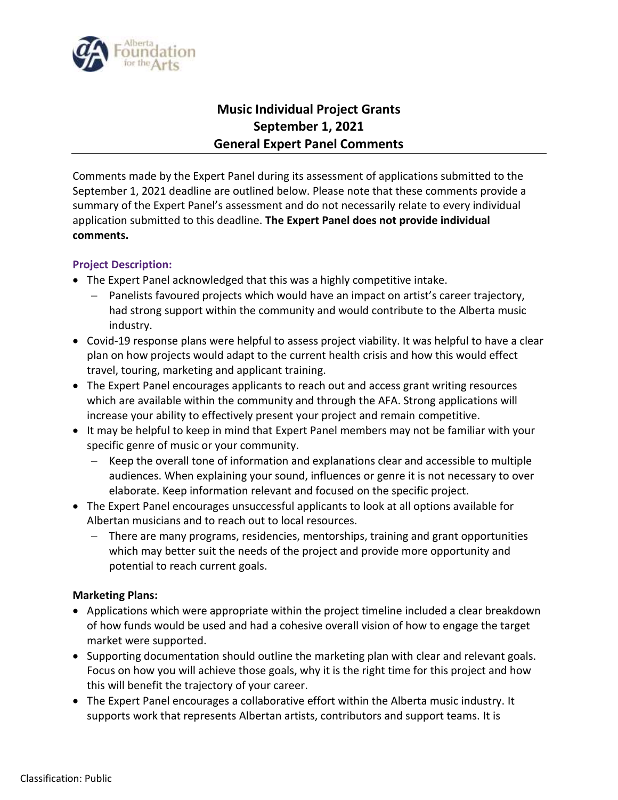

# **Music Individual Project Grants September 1, 2021 General Expert Panel Comments**

Comments made by the Expert Panel during its assessment of applications submitted to the September 1, 2021 deadline are outlined below. Please note that these comments provide a summary of the Expert Panel's assessment and do not necessarily relate to every individual application submitted to this deadline. **The Expert Panel does not provide individual comments.**

### **Project Description:**

- The Expert Panel acknowledged that this was a highly competitive intake.
	- Panelists favoured projects which would have an impact on artist's career trajectory, had strong support within the community and would contribute to the Alberta music industry.
- Covid-19 response plans were helpful to assess project viability. It was helpful to have a clear plan on how projects would adapt to the current health crisis and how this would effect travel, touring, marketing and applicant training.
- The Expert Panel encourages applicants to reach out and access grant writing resources which are available within the community and through the AFA. Strong applications will increase your ability to effectively present your project and remain competitive.
- It may be helpful to keep in mind that Expert Panel members may not be familiar with your specific genre of music or your community.
	- Keep the overall tone of information and explanations clear and accessible to multiple audiences. When explaining your sound, influences or genre it is not necessary to over elaborate. Keep information relevant and focused on the specific project.
- The Expert Panel encourages unsuccessful applicants to look at all options available for Albertan musicians and to reach out to local resources.
	- There are many programs, residencies, mentorships, training and grant opportunities which may better suit the needs of the project and provide more opportunity and potential to reach current goals.

#### **Marketing Plans:**

- Applications which were appropriate within the project timeline included a clear breakdown of how funds would be used and had a cohesive overall vision of how to engage the target market were supported.
- Supporting documentation should outline the marketing plan with clear and relevant goals. Focus on how you will achieve those goals, why it is the right time for this project and how this will benefit the trajectory of your career.
- The Expert Panel encourages a collaborative effort within the Alberta music industry. It supports work that represents Albertan artists, contributors and support teams. It is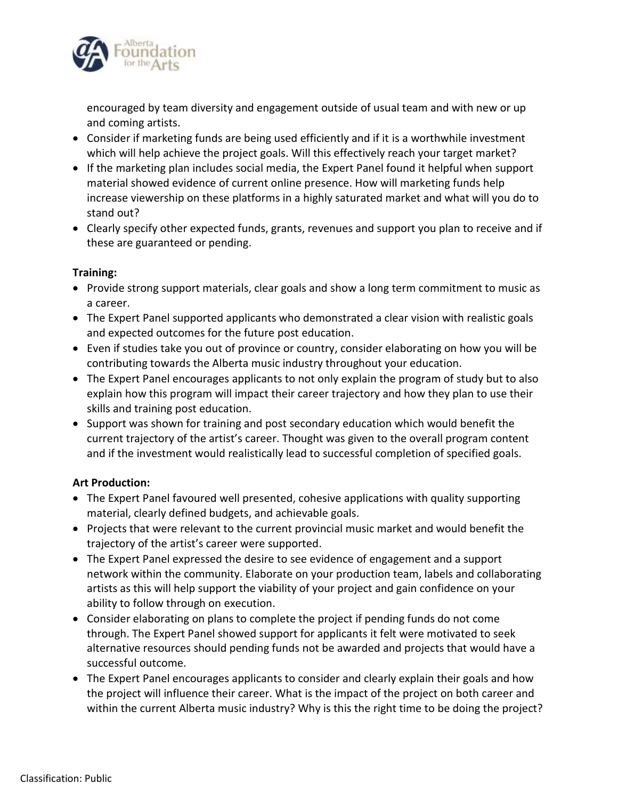

encouraged by team diversity and engagement outside of usual team and with new or up and coming artists.

- Consider if marketing funds are being used efficiently and if it is a worthwhile investment which will help achieve the project goals. Will this effectively reach your target market?
- If the marketing plan includes social media, the Expert Panel found it helpful when support material showed evidence of current online presence. How will marketing funds help increase viewership on these platforms in a highly saturated market and what will you do to stand out?
- Clearly specify other expected funds, grants, revenues and support you plan to receive and if these are guaranteed or pending.

# **Training:**

- Provide strong support materials, clear goals and show a long term commitment to music as a career.
- The Expert Panel supported applicants who demonstrated a clear vision with realistic goals and expected outcomes for the future post education.
- Even if studies take you out of province or country, consider elaborating on how you will be contributing towards the Alberta music industry throughout your education.
- The Expert Panel encourages applicants to not only explain the program of study but to also explain how this program will impact their career trajectory and how they plan to use their skills and training post education.
- Support was shown for training and post secondary education which would benefit the current trajectory of the artist's career. Thought was given to the overall program content and if the investment would realistically lead to successful completion of specified goals.

# **Art Production:**

- The Expert Panel favoured well presented, cohesive applications with quality supporting material, clearly defined budgets, and achievable goals.
- Projects that were relevant to the current provincial music market and would benefit the trajectory of the artist's career were supported.
- The Expert Panel expressed the desire to see evidence of engagement and a support network within the community. Elaborate on your production team, labels and collaborating artists as this will help support the viability of your project and gain confidence on your ability to follow through on execution.
- Consider elaborating on plans to complete the project if pending funds do not come through. The Expert Panel showed support for applicants it felt were motivated to seek alternative resources should pending funds not be awarded and projects that would have a successful outcome.
- The Expert Panel encourages applicants to consider and clearly explain their goals and how the project will influence their career. What is the impact of the project on both career and within the current Alberta music industry? Why is this the right time to be doing the project?